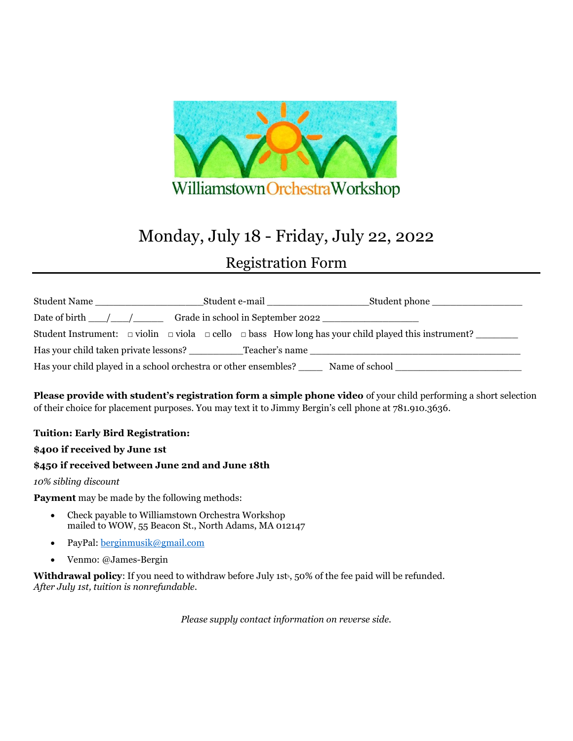

# Monday, July 18 - Friday, July 22, 2022 Registration Form

| Student Name                                                                                              |  |  |  |  | Student phone __________________<br>Student e-mail                                                                      |
|-----------------------------------------------------------------------------------------------------------|--|--|--|--|-------------------------------------------------------------------------------------------------------------------------|
| Grade in school in September 2022<br>Date of birth $\_\_\_\_\_\_\_\_\_\_\_\_\_\_\_\_\_\_\_\_\_\_\_\_\_\_$ |  |  |  |  |                                                                                                                         |
|                                                                                                           |  |  |  |  | Student Instrument: $\Box$ violin $\Box$ viola $\Box$ cello $\Box$ bass How long has your child played this instrument? |
| Has your child taken private lessons? Teacher's name                                                      |  |  |  |  |                                                                                                                         |
| Has your child played in a school orchestra or other ensembles?                                           |  |  |  |  | Name of school                                                                                                          |

**Please provide with student's registration form a simple phone video** of your child performing a short selection of their choice for placement purposes. You may text it to Jimmy Bergin's cell phone at 781.910.3636.

## **Tuition: Early Bird Registration:**

## **\$400 if received by June 1st**

## **\$450 if received between June 2nd and June 18th**

## *10% sibling discount*

**Payment** may be made by the following methods:

- Check payable to Williamstown Orchestra Workshop mailed to WOW, 55 Beacon St., North Adams, MA 012147
- PayPal[: berginmusik@gmail.com](mailto:berginmusik@gmail.com)
- Venmo: @James-Bergin

Withdrawal policy: If you need to withdraw before July 1st<sup>h</sup>, 50% of the fee paid will be refunded. *After July 1st, tuition is nonrefundable.*

*Please supply contact information on reverse side.*